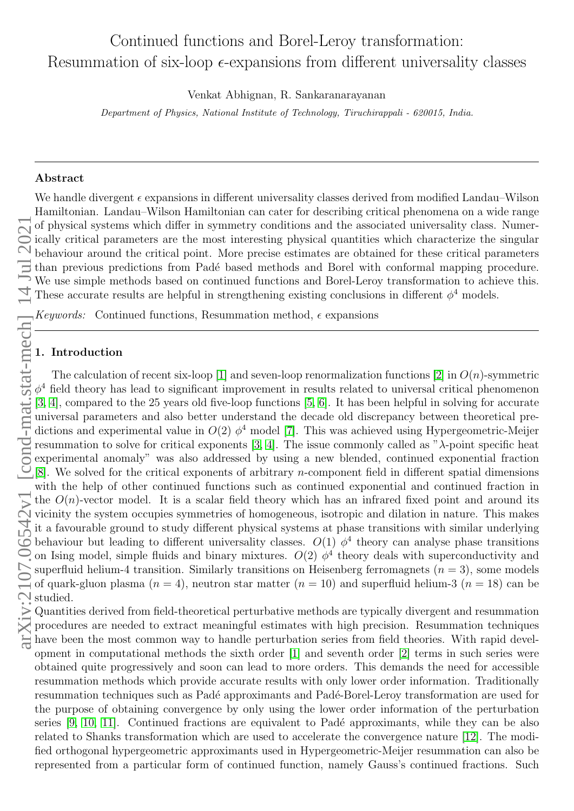# Continued functions and Borel-Leroy transformation: Resummation of six-loop  $\epsilon$ -expansions from different universality classes

Venkat Abhignan, R. Sankaranarayanan

Department of Physics, National Institute of Technology, Tiruchirappali - 620015, India.

## Abstract

We handle divergent  $\epsilon$  expansions in different universality classes derived from modified Landau–Wilson Hamiltonian. Landau–Wilson Hamiltonian can cater for describing critical phenomena on a wide range of physical systems which differ in symmetry conditions and the associated universality class. Numerically critical parameters are the most interesting physical quantities which characterize the singular  $\bigcirc$  behaviour around the critical point. More precise estimates are obtained for these critical parameters than previous predictions from Padé based methods and Borel with conformal mapping procedure. We use simple methods based on continued functions and Borel-Leroy transformation to achieve this. These accurate results are helpful in strengthening existing conclusions in different  $\phi^4$  models.

Keywords: Continued functions, Resummation method,  $\epsilon$  expansions

# 1. Introduction

The calculation of recent six-loop [\[1\]](#page-8-0) and seven-loop renormalization functions [\[2\]](#page-8-1) in  $O(n)$ -symmetric  $\phi^4$  field theory has lead to significant improvement in results related to universal critical phenomenon [\[3,](#page-8-2) [4\]](#page-8-3), compared to the 25 years old five-loop functions [\[5,](#page-8-4) [6\]](#page-8-5). It has been helpful in solving for accurate universal parameters and also better understand the decade old discrepancy between theoretical predictions and experimental value in  $O(2)$   $\phi^4$  model [\[7\]](#page-8-6). This was achieved using Hypergeometric-Meijer resummation to solve for critical exponents [\[3,](#page-8-2) [4\]](#page-8-3). The issue commonly called as "λ-point specific heat experimental anomaly" was also addressed by using a new blended, continued exponential fraction [\[8\]](#page-8-7). We solved for the critical exponents of arbitrary n-component field in different spatial dimensions with the help of other continued functions such as continued exponential and continued fraction in the  $O(n)$ -vector model. It is a scalar field theory which has an infrared fixed point and around its vicinity the system occupies symmetries of homogeneous, isotropic and dilation in nature. This makes it a favourable ground to study different physical systems at phase transitions with similar underlying behaviour but leading to different universality classes.  $O(1)$   $\phi^4$  theory can analyse phase transitions on Ising model, simple fluids and binary mixtures.  $O(2)$   $\phi^4$  theory deals with superconductivity and superfluid helium-4 transition. Similarly transitions on Heisenberg ferromagnets  $(n = 3)$ , some models of quark-gluon plasma  $(n = 4)$ , neutron star matter  $(n = 10)$  and superfluid helium-3  $(n = 18)$  can be superfluence of quark

 $\mathcal{L}$  Quantities derived from field-theoretical perturbative methods are typically divergent and resummation procedures are needed to extract meaningful estimates with high precision. Resummation techniques have been the most common way to handle perturbation series from field theories. With rapid development in computational methods the sixth order [\[1\]](#page-8-0) and seventh order [\[2\]](#page-8-1) terms in such series were obtained quite progressively and soon can lead to more orders. This demands the need for accessible resummation methods which provide accurate results with only lower order information. Traditionally resummation techniques such as Padé approximants and Padé-Borel-Leroy transformation are used for the purpose of obtaining convergence by only using the lower order information of the perturbation series [\[9,](#page-8-8) [10,](#page-8-9) [11\]](#page-8-10). Continued fractions are equivalent to Padé approximants, while they can be also related to Shanks transformation which are used to accelerate the convergence nature [\[12\]](#page-8-11). The modified orthogonal hypergeometric approximants used in Hypergeometric-Meijer resummation can also be represented from a particular form of continued function, namely Gauss's continued fractions. Such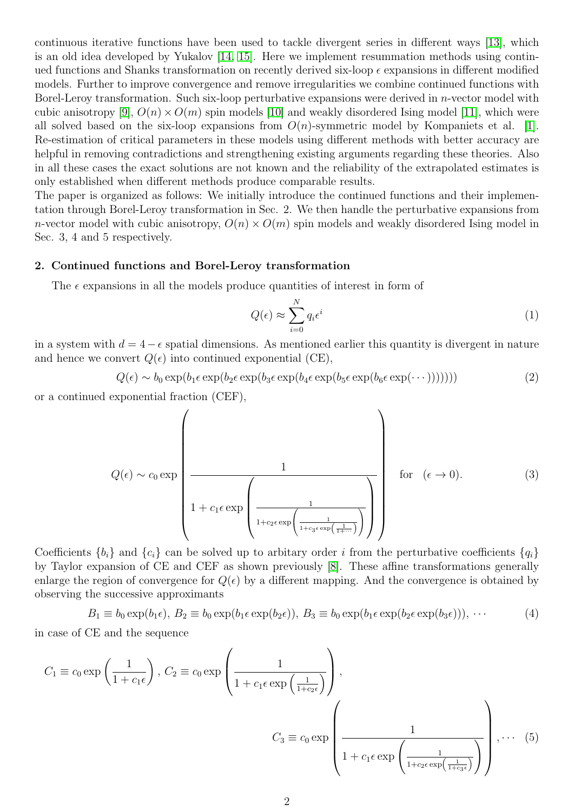continuous iterative functions have been used to tackle divergent series in different ways [\[13\]](#page-8-12), which is an old idea developed by Yukalov [\[14,](#page-9-0) [15\]](#page-9-1). Here we implement resummation methods using continued functions and Shanks transformation on recently derived six-loop  $\epsilon$  expansions in different modified models. Further to improve convergence and remove irregularities we combine continued functions with Borel-Leroy transformation. Such six-loop perturbative expansions were derived in *n*-vector model with cubic anisotropy [\[9\]](#page-8-8),  $O(n) \times O(m)$  spin models [\[10\]](#page-8-9) and weakly disordered Ising model [\[11\]](#page-8-10), which were all solved based on the six-loop expansions from  $O(n)$ -symmetric model by Kompaniets et al. [\[1\]](#page-8-0). Re-estimation of critical parameters in these models using different methods with better accuracy are helpful in removing contradictions and strengthening existing arguments regarding these theories. Also in all these cases the exact solutions are not known and the reliability of the extrapolated estimates is only established when different methods produce comparable results.

The paper is organized as follows: We initially introduce the continued functions and their implementation through Borel-Leroy transformation in Sec. 2. We then handle the perturbative expansions from n-vector model with cubic anisotropy,  $O(n) \times O(m)$  spin models and weakly disordered Ising model in Sec. 3, 4 and 5 respectively.

# 2. Continued functions and Borel-Leroy transformation

The  $\epsilon$  expansions in all the models produce quantities of interest in form of

$$
Q(\epsilon) \approx \sum_{i=0}^{N} q_i \epsilon^i
$$
 (1)

in a system with  $d = 4 - \epsilon$  spatial dimensions. As mentioned earlier this quantity is divergent in nature and hence we convert  $Q(\epsilon)$  into continued exponential (CE),

$$
Q(\epsilon) \sim b_0 \exp(b_1 \epsilon \exp(b_2 \epsilon \exp(b_3 \epsilon \exp(b_4 \epsilon \exp(b_5 \epsilon \exp(b_6 \epsilon \exp(\cdots))))))
$$
 (2)

or a continued exponential fraction (CEF),

$$
Q(\epsilon) \sim c_0 \exp\left(\frac{1}{1 + c_1 \epsilon \exp\left(\frac{1}{1 + c_2 \epsilon \exp\left(\frac{1}{1 + c_3 \epsilon \exp\left(\frac{1}{1 + \cdots}\right)}\right)}\right)}\right) \quad \text{for} \quad (\epsilon \to 0).
$$
 (3)

Coefficients  ${b_i}$  and  ${c_i}$  can be solved up to arbitary order i from the perturbative coefficients  ${q_i}$ by Taylor expansion of CE and CEF as shown previously [\[8\]](#page-8-7). These affine transformations generally enlarge the region of convergence for  $Q(\epsilon)$  by a different mapping. And the convergence is obtained by observing the successive approximants

$$
B_1 \equiv b_0 \exp(b_1 \epsilon), B_2 \equiv b_0 \exp(b_1 \epsilon \exp(b_2 \epsilon)), B_3 \equiv b_0 \exp(b_1 \epsilon \exp(b_2 \epsilon \exp(b_3 \epsilon))), \cdots
$$
 (4)

in case of CE and the sequence

$$
C_1 \equiv c_0 \exp\left(\frac{1}{1+c_1\epsilon}\right), C_2 \equiv c_0 \exp\left(\frac{1}{1+c_1\epsilon \exp\left(\frac{1}{1+c_2\epsilon}\right)}\right),
$$
  

$$
C_3 \equiv c_0 \exp\left(\frac{1}{1+c_1\epsilon \exp\left(\frac{1}{1+c_2\epsilon\exp\left(\frac{1}{1+c_2\epsilon\exp\left(\frac{1}{1+c_3\epsilon}\right)}\right)}\right), \cdots (5)
$$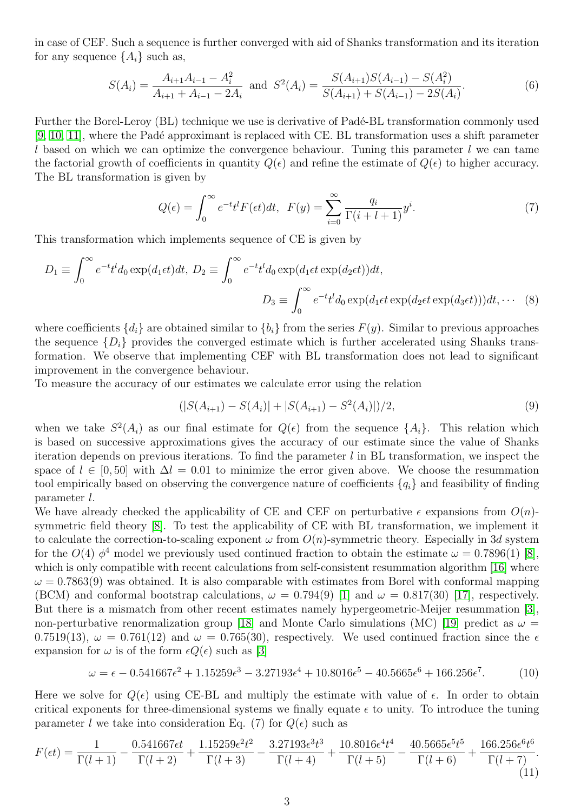in case of CEF. Such a sequence is further converged with aid of Shanks transformation and its iteration for any sequence  $\{A_i\}$  such as,

$$
S(A_i) = \frac{A_{i+1}A_{i-1} - A_i^2}{A_{i+1} + A_{i-1} - 2A_i} \text{ and } S^2(A_i) = \frac{S(A_{i+1})S(A_{i-1}) - S(A_i^2)}{S(A_{i+1}) + S(A_{i-1}) - 2S(A_i)}.
$$
 (6)

Further the Borel-Leroy (BL) technique we use is derivative of Padé-BL transformation commonly used [\[9,](#page-8-8) [10,](#page-8-9) [11\]](#page-8-10), where the Padé approximant is replaced with CE. BL transformation uses a shift parameter l based on which we can optimize the convergence behaviour. Tuning this parameter l we can tame the factorial growth of coefficients in quantity  $Q(\epsilon)$  and refine the estimate of  $Q(\epsilon)$  to higher accuracy. The BL transformation is given by

$$
Q(\epsilon) = \int_0^\infty e^{-t} t^l F(\epsilon t) dt, \quad F(y) = \sum_{i=0}^\infty \frac{q_i}{\Gamma(i+l+1)} y^i.
$$
 (7)

This transformation which implements sequence of CE is given by

$$
D_1 \equiv \int_0^\infty e^{-t}t^l d_0 \exp(d_1 \epsilon t) dt, D_2 \equiv \int_0^\infty e^{-t}t^l d_0 \exp(d_1 \epsilon t \exp(d_2 \epsilon t)) dt,
$$
  

$$
D_3 \equiv \int_0^\infty e^{-t}t^l d_0 \exp(d_1 \epsilon t \exp(d_2 \epsilon t \exp(d_3 \epsilon t))) dt, \cdots (8)
$$

where coefficients  $\{d_i\}$  are obtained similar to  $\{b_i\}$  from the series  $F(y)$ . Similar to previous approaches the sequence  $\{D_i\}$  provides the converged estimate which is further accelerated using Shanks transformation. We observe that implementing CEF with BL transformation does not lead to significant improvement in the convergence behaviour.

To measure the accuracy of our estimates we calculate error using the relation

$$
(|S(A_{i+1}) - S(A_i)| + |S(A_{i+1}) - S^2(A_i)|)/2,
$$
\n(9)

when we take  $S^2(A_i)$  as our final estimate for  $Q(\epsilon)$  from the sequence  $\{A_i\}$ . This relation which is based on successive approximations gives the accuracy of our estimate since the value of Shanks iteration depends on previous iterations. To find the parameter  $l$  in BL transformation, we inspect the space of  $l \in [0, 50]$  with  $\Delta l = 0.01$  to minimize the error given above. We choose the resummation tool empirically based on observing the convergence nature of coefficients  $\{q_i\}$  and feasibility of finding parameter l.

We have already checked the applicability of CE and CEF on perturbative  $\epsilon$  expansions from  $O(n)$ symmetric field theory [\[8\]](#page-8-7). To test the applicability of CE with BL transformation, we implement it to calculate the correction-to-scaling exponent  $\omega$  from  $O(n)$ -symmetric theory. Especially in 3d system for the  $O(4)$   $\phi^4$  model we previously used continued fraction to obtain the estimate  $\omega = 0.7896(1)$  [\[8\]](#page-8-7), which is only compatible with recent calculations from self-consistent resummation algorithm [\[16\]](#page-9-2) where  $\omega = 0.7863(9)$  was obtained. It is also comparable with estimates from Borel with conformal mapping (BCM) and conformal bootstrap calculations,  $\omega = 0.794(9)$  [\[1\]](#page-8-0) and  $\omega = 0.817(30)$  [\[17\]](#page-9-3), respectively. But there is a mismatch from other recent estimates namely hypergeometric-Meijer resummation [\[3\]](#page-8-2), non-perturbative renormalization group [\[18\]](#page-9-4) and Monte Carlo simulations (MC) [\[19\]](#page-9-5) predict as  $\omega =$ 0.7519(13),  $\omega = 0.761(12)$  and  $\omega = 0.765(30)$ , respectively. We used continued fraction since the  $\epsilon$ expansion for  $\omega$  is of the form  $\epsilon Q(\epsilon)$  such as [\[3\]](#page-8-2)

$$
\omega = \epsilon - 0.541667\epsilon^2 + 1.15259\epsilon^3 - 3.27193\epsilon^4 + 10.8016\epsilon^5 - 40.5665\epsilon^6 + 166.256\epsilon^7. \tag{10}
$$

Here we solve for  $Q(\epsilon)$  using CE-BL and multiply the estimate with value of  $\epsilon$ . In order to obtain critical exponents for three-dimensional systems we finally equate  $\epsilon$  to unity. To introduce the tuning parameter l we take into consideration Eq. (7) for  $Q(\epsilon)$  such as

$$
F(\epsilon t) = \frac{1}{\Gamma(l+1)} - \frac{0.541667\epsilon t}{\Gamma(l+2)} + \frac{1.15259\epsilon^2 t^2}{\Gamma(l+3)} - \frac{3.27193\epsilon^3 t^3}{\Gamma(l+4)} + \frac{10.8016\epsilon^4 t^4}{\Gamma(l+5)} - \frac{40.5665\epsilon^5 t^5}{\Gamma(l+6)} + \frac{166.256\epsilon^6 t^6}{\Gamma(l+7)}.
$$
\n(11)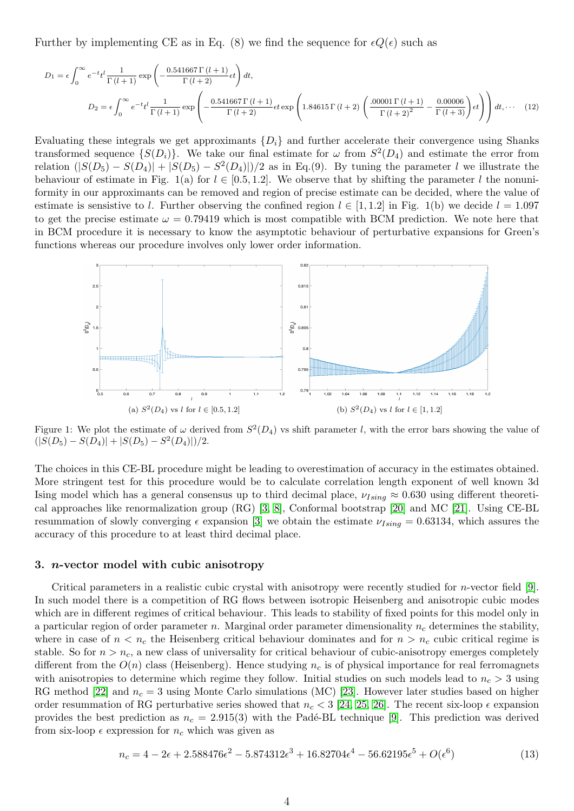Further by implementing CE as in Eq. (8) we find the sequence for  $\epsilon Q(\epsilon)$  such as

$$
D_1 = \epsilon \int_0^{\infty} e^{-t} t^l \frac{1}{\Gamma(l+1)} \exp\left(-\frac{0.541667 \Gamma(l+1)}{\Gamma(l+2)} \epsilon t\right) dt,
$$
  

$$
D_2 = \epsilon \int_0^{\infty} e^{-t} t^l \frac{1}{\Gamma(l+1)} \exp\left(-\frac{0.541667 \Gamma(l+1)}{\Gamma(l+2)} \epsilon t \exp\left(1.84615 \Gamma(l+2) \left(\frac{.00001 \Gamma(l+1)}{\Gamma(l+2)^2} - \frac{0.00006}{\Gamma(l+3)}\right) t\right)\right) dt,
$$
 (12)

Evaluating these integrals we get approximants  $\{D_i\}$  and further accelerate their convergence using Shanks transformed sequence  $\{S(D_i)\}\$ . We take our final estimate for  $\omega$  from  $S^2(D_4)$  and estimate the error from relation  $(|S(D_5) - S(D_4)| + |S(D_5) - S^2(D_4)|)/2$  as in Eq.(9). By tuning the parameter l we illustrate the behaviour of estimate in Fig. 1(a) for  $l \in [0.5, 1.2]$ . We observe that by shifting the parameter l the nonuniformity in our approximants can be removed and region of precise estimate can be decided, where the value of estimate is sensistive to l. Further observing the confined region  $l \in [1,1.2]$  in Fig. 1(b) we decide  $l = 1.097$ to get the precise estimate  $\omega = 0.79419$  which is most compatible with BCM prediction. We note here that in BCM procedure it is necessary to know the asymptotic behaviour of perturbative expansions for Green's functions whereas our procedure involves only lower order information.



Figure 1: We plot the estimate of  $\omega$  derived from  $S^2(D_4)$  vs shift parameter l, with the error bars showing the value of  $(|S(D_5) - S(D_4)| + |S(D_5) - S^2(D_4)|)/2.$ 

The choices in this CE-BL procedure might be leading to overestimation of accuracy in the estimates obtained. More stringent test for this procedure would be to calculate correlation length exponent of well known 3d Ising model which has a general consensus up to third decimal place,  $\nu_{Ising} \approx 0.630$  using different theoretical approaches like renormalization group (RG) [\[3,](#page-8-2) [8\]](#page-8-7), Conformal bootstrap [\[20\]](#page-9-6) and MC [\[21\]](#page-9-7). Using CE-BL resummation of slowly converging  $\epsilon$  expansion [\[3\]](#page-8-2) we obtain the estimate  $\nu_{Ising} = 0.63134$ , which assures the accuracy of this procedure to at least third decimal place.

#### 3. n-vector model with cubic anisotropy

Critical parameters in a realistic cubic crystal with anisotropy were recently studied for n-vector field [\[9\]](#page-8-8). In such model there is a competition of RG flows between isotropic Heisenberg and anisotropic cubic modes which are in different regimes of critical behaviour. This leads to stability of fixed points for this model only in a particular region of order parameter n. Marginal order parameter dimensionality  $n_c$  determines the stability, where in case of  $n < n_c$  the Heisenberg critical behaviour dominates and for  $n > n_c$  cubic critical regime is stable. So for  $n > n_c$ , a new class of universality for critical behaviour of cubic-anisotropy emerges completely different from the  $O(n)$  class (Heisenberg). Hence studying  $n_c$  is of physical importance for real ferromagnets with anisotropies to determine which regime they follow. Initial studies on such models lead to  $n_c > 3$  using RG method [\[22\]](#page-9-8) and  $n_c = 3$  using Monte Carlo simulations (MC) [\[23\]](#page-9-9). However later studies based on higher order resummation of RG perturbative series showed that  $n_c < 3$  [\[24,](#page-9-10) [25,](#page-9-11) [26\]](#page-9-12). The recent six-loop  $\epsilon$  expansion provides the best prediction as  $n_c = 2.915(3)$  with the Padé-BL technique [\[9\]](#page-8-8). This prediction was derived from six-loop  $\epsilon$  expression for  $n_c$  which was given as

$$
n_c = 4 - 2\epsilon + 2.588476\epsilon^2 - 5.874312\epsilon^3 + 16.82704\epsilon^4 - 56.62195\epsilon^5 + O(\epsilon^6)
$$
\n(13)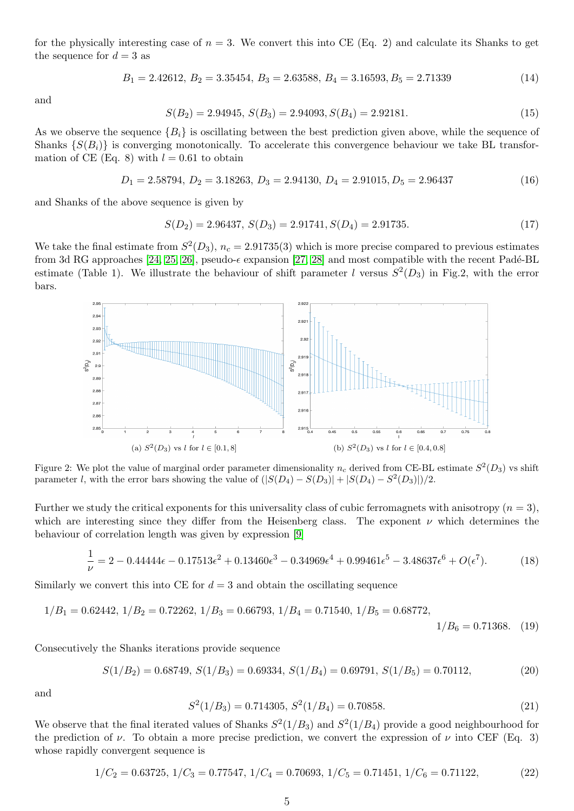for the physically interesting case of  $n = 3$ . We convert this into CE (Eq. 2) and calculate its Shanks to get the sequence for  $d = 3$  as

$$
B_1 = 2.42612, B_2 = 3.35454, B_3 = 2.63588, B_4 = 3.16593, B_5 = 2.71339
$$
\n
$$
(14)
$$

and

$$
S(B_2) = 2.94945, S(B_3) = 2.94093, S(B_4) = 2.92181.
$$
\n
$$
(15)
$$

As we observe the sequence  ${B_i}$  is oscillating between the best prediction given above, while the sequence of Shanks  $\{S(B_i)\}\$ is converging monotonically. To accelerate this convergence behaviour we take BL transformation of CE (Eq. 8) with  $l = 0.61$  to obtain

$$
D_1 = 2.58794, D_2 = 3.18263, D_3 = 2.94130, D_4 = 2.91015, D_5 = 2.96437
$$
\n
$$
(16)
$$

and Shanks of the above sequence is given by

$$
S(D_2) = 2.96437, S(D_3) = 2.91741, S(D_4) = 2.91735.
$$
\n
$$
(17)
$$

We take the final estimate from  $S^2(D_3)$ ,  $n_c = 2.91735(3)$  which is more precise compared to previous estimates from 3d RG approaches [\[24,](#page-9-10) [25,](#page-9-11) [26\]](#page-9-12), pseudo- $\epsilon$  expansion [\[27,](#page-9-13) [28\]](#page-9-14) and most compatible with the recent Padé-BL estimate (Table 1). We illustrate the behaviour of shift parameter l versus  $S^2(D_3)$  in Fig.2, with the error bars.



Figure 2: We plot the value of marginal order parameter dimensionality  $n_c$  derived from CE-BL estimate  $S^2(D_3)$  vs shift parameter l, with the error bars showing the value of  $(|S(D_4) - S(D_3)| + |S(D_4) - S^2(D_3)|)/2$ .

Further we study the critical exponents for this universality class of cubic ferromagnets with anisotropy  $(n = 3)$ , which are interesting since they differ from the Heisenberg class. The exponent  $\nu$  which determines the behaviour of correlation length was given by expression [\[9\]](#page-8-8)

$$
\frac{1}{\nu} = 2 - 0.44444\epsilon - 0.17513\epsilon^2 + 0.13460\epsilon^3 - 0.34969\epsilon^4 + 0.99461\epsilon^5 - 3.48637\epsilon^6 + O(\epsilon^7). \tag{18}
$$

Similarly we convert this into CE for  $d = 3$  and obtain the oscillating sequence

$$
1/B_1 = 0.62442, \ 1/B_2 = 0.72262, \ 1/B_3 = 0.66793, \ 1/B_4 = 0.71540, \ 1/B_5 = 0.68772, \ 1/B_6 = 0.71368. \tag{19}
$$

Consecutively the Shanks iterations provide sequence

$$
S(1/B_2) = 0.68749, S(1/B_3) = 0.69334, S(1/B_4) = 0.69791, S(1/B_5) = 0.70112,
$$
\n(20)

and

$$
S2(1/B3) = 0.714305, S2(1/B4) = 0.70858.
$$
\n(21)

We observe that the final iterated values of Shanks  $S^2(1/B_3)$  and  $S^2(1/B_4)$  provide a good neighbourhood for the prediction of  $\nu$ . To obtain a more precise prediction, we convert the expression of  $\nu$  into CEF (Eq. 3) whose rapidly convergent sequence is

$$
1/C_2 = 0.63725, \ 1/C_3 = 0.77547, \ 1/C_4 = 0.70693, \ 1/C_5 = 0.71451, \ 1/C_6 = 0.71122, \tag{22}
$$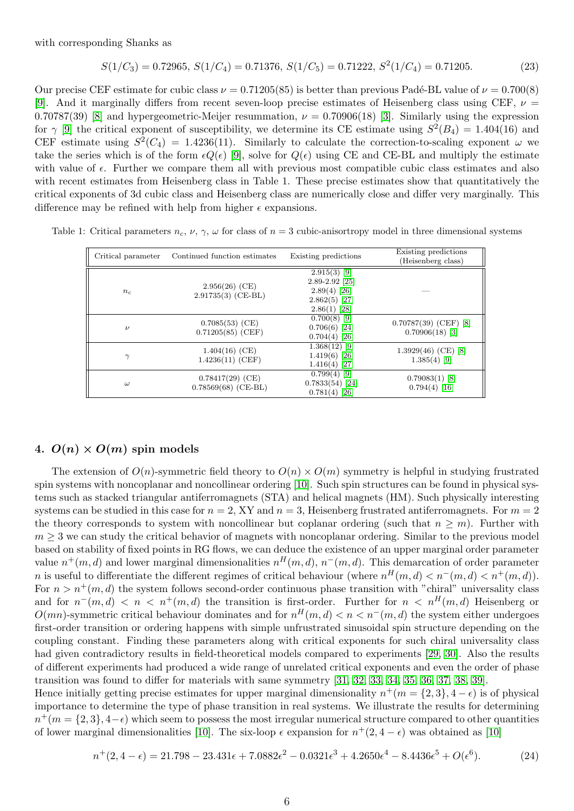with corresponding Shanks as

$$
S(1/C_3) = 0.72965, S(1/C_4) = 0.71376, S(1/C_5) = 0.71222, S^2(1/C_4) = 0.71205.
$$
 (23)

Our precise CEF estimate for cubic class  $\nu = 0.71205(85)$  is better than previous Padé-BL value of  $\nu = 0.700(8)$ [\[9\]](#page-8-8). And it marginally differs from recent seven-loop precise estimates of Heisenberg class using CEF,  $\nu =$ 0.70787(39) [\[8\]](#page-8-7) and hypergeometric-Meijer resummation,  $\nu = 0.70906(18)$  [\[3\]](#page-8-2). Similarly using the expression for  $\gamma$  [\[9\]](#page-8-8) the critical exponent of susceptibility, we determine its CE estimate using  $S^2(B_4) = 1.404(16)$  and CEF estimate using  $S^2(C_4) = 1.4236(11)$ . Similarly to calculate the correction-to-scaling exponent  $\omega$  we take the series which is of the form  $\epsilon Q(\epsilon)$  [\[9\]](#page-8-8), solve for  $Q(\epsilon)$  using CE and CE-BL and multiply the estimate with value of  $\epsilon$ . Further we compare them all with previous most compatible cubic class estimates and also with recent estimates from Heisenberg class in Table 1. These precise estimates show that quantitatively the critical exponents of 3d cubic class and Heisenberg class are numerically close and differ very marginally. This difference may be refined with help from higher  $\epsilon$  expansions.

| Table 1: Critical parameters $n_c$ , $\nu$ , $\gamma$ , $\omega$ for class of $n=3$ cubic-anisortropy model in three dimensional systems |  |  |  |  |  |
|------------------------------------------------------------------------------------------------------------------------------------------|--|--|--|--|--|
|------------------------------------------------------------------------------------------------------------------------------------------|--|--|--|--|--|

| Critical parameter | Continued function estimates                | Existing predictions                                                                        | Existing predictions<br>(Heisenberg class)   |
|--------------------|---------------------------------------------|---------------------------------------------------------------------------------------------|----------------------------------------------|
| $n_c$              | $2.956(26)$ (CE)<br>$2.91735(3)$ (CE-BL)    | $2.915(3)$ [9]<br>$2.89 - 2.92$ [25]<br>$2.89(4)$ [26]<br>$2.862(5)$ [27]<br>$2.86(1)$ [28] |                                              |
| $\nu$              | $0.7085(53)$ (CE)<br>$0.71205(85)$ (CEF)    | $0.700(8)$ [9]<br>$0.706(6)$ [24]<br>$0.704(4)$ [26]                                        | $0.70787(39)$ (CEF) [8]<br>$0.70906(18)$ [3] |
| $\gamma$           | $1.404(16)$ (CE)<br>$1.4236(11)$ (CEF)      | $1.368(12)$ [9]<br>$1.419(6)$ [26]<br>$1.416(4)$ [27]                                       | $1.3929(46)$ (CE) [8]<br>$1.385(4)$ [9]      |
| $\omega$           | $0.78417(29)$ (CE)<br>$0.78569(68)$ (CE-BL) | $0.799(4)$ [9]<br>$0.7833(54)$ [24]<br>$0.781(4)$ [26]                                      | $0.79083(1)$ [8]<br>$0.794(4)$ [16]          |

# 4.  $O(n) \times O(m)$  spin models

The extension of  $O(n)$ -symmetric field theory to  $O(n) \times O(m)$  symmetry is helpful in studying frustrated spin systems with noncoplanar and noncollinear ordering [\[10\]](#page-8-9). Such spin structures can be found in physical systems such as stacked triangular antiferromagnets (STA) and helical magnets (HM). Such physically interesting systems can be studied in this case for  $n = 2$ , XY and  $n = 3$ , Heisenberg frustrated antiferromagnets. For  $m = 2$ the theory corresponds to system with noncollinear but coplanar ordering (such that  $n > m$ ). Further with  $m \geq 3$  we can study the critical behavior of magnets with noncoplanar ordering. Similar to the previous model based on stability of fixed points in RG flows, we can deduce the existence of an upper marginal order parameter value  $n^+(m,d)$  and lower marginal dimensionalities  $n^H(m,d)$ ,  $n^-(m,d)$ . This demarcation of order parameter n is useful to differentiate the different regimes of critical behaviour (where  $n^{H}(m, d) < n^{-}(m, d) < n^{+}(m, d)$ ). For  $n > n^{+}(m, d)$  the system follows second-order continuous phase transition with "chiral" universality class and for  $n^-(m,d) < n < n^+(m,d)$  the transition is first-order. Further for  $n < n^H(m,d)$  Heisenberg or  $O(mn)$ -symmetric critical behaviour dominates and for  $n^H(m, d) < n < n^-(m, d)$  the system either undergoes first-order transition or ordering happens with simple unfrustrated sinusoidal spin structure depending on the coupling constant. Finding these parameters along with critical exponents for such chiral universality class had given contradictory results in field-theoretical models compared to experiments [\[29,](#page-9-15) [30\]](#page-9-16). Also the results of different experiments had produced a wide range of unrelated critical exponents and even the order of phase transition was found to differ for materials with same symmetry [\[31,](#page-9-17) [32,](#page-9-18) [33,](#page-10-0) [34,](#page-10-1) [35,](#page-10-2) [36,](#page-10-3) [37,](#page-10-4) [38,](#page-10-5) [39\]](#page-10-6).

Hence initially getting precise estimates for upper marginal dimensionality  $n^+(m = \{2,3\}, 4 - \epsilon)$  is of physical importance to determine the type of phase transition in real systems. We illustrate the results for determining  $n^+(m = \{2, 3\}, 4-\epsilon)$  which seem to possess the most irregular numerical structure compared to other quantities of lower marginal dimensionalities [\[10\]](#page-8-9). The six-loop  $\epsilon$  expansion for  $n^+(2, 4-\epsilon)$  was obtained as [10]

$$
n^+(2, 4-\epsilon) = 21.798 - 23.431\epsilon + 7.0882\epsilon^2 - 0.0321\epsilon^3 + 4.2650\epsilon^4 - 8.4436\epsilon^5 + O(\epsilon^6). \tag{24}
$$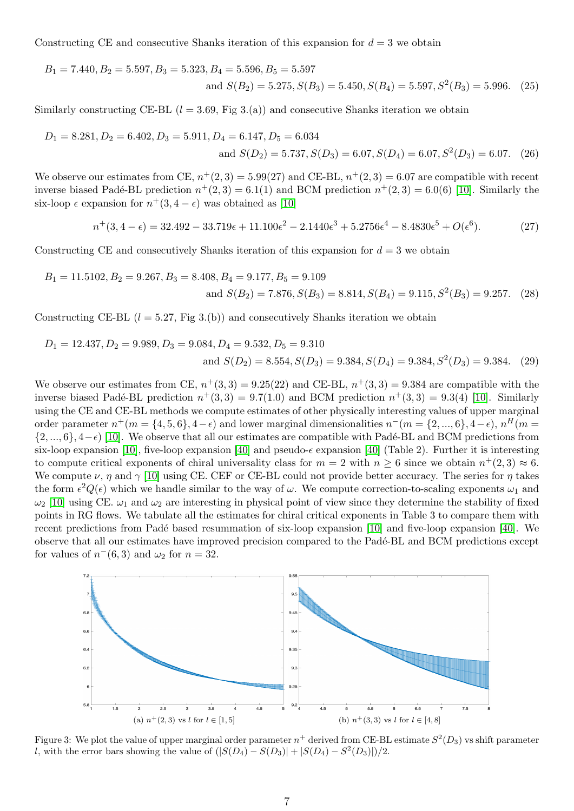Constructing CE and consecutive Shanks iteration of this expansion for  $d = 3$  we obtain

$$
B_1 = 7.440, B_2 = 5.597, B_3 = 5.323, B_4 = 5.596, B_5 = 5.597
$$
  
and  $S(B_2) = 5.275, S(B_3) = 5.450, S(B_4) = 5.597, S^2(B_3) = 5.996.$  (25)

Similarly constructing CE-BL  $(l = 3.69,$  Fig 3.(a)) and consecutive Shanks iteration we obtain

$$
D_1 = 8.281, D_2 = 6.402, D_3 = 5.911, D_4 = 6.147, D_5 = 6.034
$$
  
and  $S(D_2) = 5.737, S(D_3) = 6.07, S(D_4) = 6.07, S^2(D_3) = 6.07$ . (26)

We observe our estimates from CE,  $n^+(2,3) = 5.99(27)$  and CE-BL,  $n^+(2,3) = 6.07$  are compatible with recent inverse biased Padé-BL prediction  $n^+(2,3) = 6.1(1)$  and BCM prediction  $n^+(2,3) = 6.0(6)$  [\[10\]](#page-8-9). Similarly the six-loop  $\epsilon$  expansion for  $n^+(3, 4-\epsilon)$  was obtained as [\[10\]](#page-8-9)

$$
n^+(3,4-\epsilon) = 32.492 - 33.719\epsilon + 11.100\epsilon^2 - 2.1440\epsilon^3 + 5.2756\epsilon^4 - 8.4830\epsilon^5 + O(\epsilon^6). \tag{27}
$$

Constructing CE and consecutively Shanks iteration of this expansion for  $d = 3$  we obtain

$$
B_1 = 11.5102, B_2 = 9.267, B_3 = 8.408, B_4 = 9.177, B_5 = 9.109
$$
  
and  $S(B_2) = 7.876, S(B_3) = 8.814, S(B_4) = 9.115, S^2(B_3) = 9.257.$  (28)

Constructing CE-BL  $(l = 5.27, Fig 3.6)$  and consecutively Shanks iteration we obtain

$$
D_1 = 12.437, D_2 = 9.989, D_3 = 9.084, D_4 = 9.532, D_5 = 9.310
$$
  
and  $S(D_2) = 8.554, S(D_3) = 9.384, S(D_4) = 9.384, S^2(D_3) = 9.384.$  (29)

We observe our estimates from CE,  $n^+(3,3) = 9.25(22)$  and CE-BL,  $n^+(3,3) = 9.384$  are compatible with the inverse biased Padé-BL prediction  $n^+(3,3) = 9.7(1.0)$  and BCM prediction  $n^+(3,3) = 9.3(4)$  [\[10\]](#page-8-9). Similarly using the CE and CE-BL methods we compute estimates of other physically interesting values of upper marginal order parameter  $n^+(m = \{4, 5, 6\}, 4-\epsilon)$  and lower marginal dimensionalities  $n^-(m = \{2, ..., 6\}, 4-\epsilon)$ ,  $n^H(m = \{4, ..., 6\})$  $\{2, ..., 6\}, 4-\epsilon$  [\[10\]](#page-8-9). We observe that all our estimates are compatible with Padé-BL and BCM predictions from six-loop expansion [\[10\]](#page-8-9), five-loop expansion [\[40\]](#page-10-7) and pseudo- $\epsilon$  expansion [40] (Table 2). Further it is interesting to compute critical exponents of chiral universality class for  $m = 2$  with  $n \geq 6$  since we obtain  $n^+(2,3) \approx 6$ . We compute  $\nu$ ,  $\eta$  and  $\gamma$  [\[10\]](#page-8-9) using CE. CEF or CE-BL could not provide better accuracy. The series for  $\eta$  takes the form  $\epsilon^2 Q(\epsilon)$  which we handle similar to the way of  $\omega$ . We compute correction-to-scaling exponents  $\omega_1$  and  $\omega_2$  [\[10\]](#page-8-9) using CE.  $\omega_1$  and  $\omega_2$  are interesting in physical point of view since they determine the stability of fixed points in RG flows. We tabulate all the estimates for chiral critical exponents in Table 3 to compare them with recent predictions from Padé based resummation of six-loop expansion [\[10\]](#page-8-9) and five-loop expansion [\[40\]](#page-10-7). We observe that all our estimates have improved precision compared to the Pad´e-BL and BCM predictions except for values of  $n^-(6,3)$  and  $\omega_2$  for  $n=32$ .



Figure 3: We plot the value of upper marginal order parameter  $n^+$  derived from CE-BL estimate  $S^2(D_3)$  vs shift parameter l, with the error bars showing the value of  $(|S(D_4) - S(D_3)| + |S(D_4) - S^2(D_3)|)/2$ .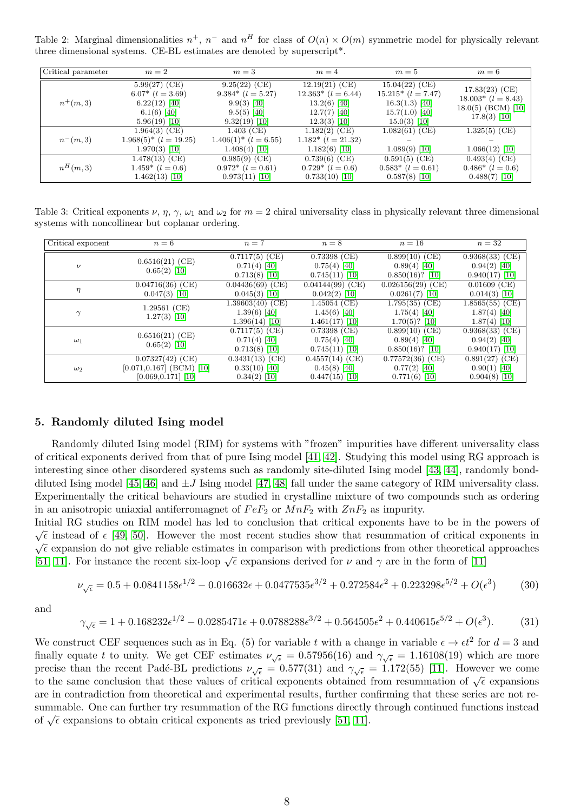Table 2: Marginal dimensionalities  $n^+$ ,  $n^-$  and  $n^H$  for class of  $O(n) \times O(m)$  symmetric model for physically relevant three dimensional systems. CE-BL estimates are denoted by superscript\*.

| Critical parameter | $m=2$                                                                                          | $m=3$                                                                                         | $m=4$                                                                                            | $m=5$                                                                                             | $m=6$                                                                                |
|--------------------|------------------------------------------------------------------------------------------------|-----------------------------------------------------------------------------------------------|--------------------------------------------------------------------------------------------------|---------------------------------------------------------------------------------------------------|--------------------------------------------------------------------------------------|
| $n^+(m,3)$         | $5.99(27)$ (CE)<br>$6.07*$ $(l = 3.69)$<br>$6.22(12)$ [40]<br>$6.1(6)$ [40]<br>$5.96(19)$ [10] | $9.25(22)$ (CE)<br>$9.384*$ $(l = 5.27)$<br>$9.9(3)$ [40]<br>$9.5(5)$ [40]<br>$9.32(19)$ [10] | $12.19(21)$ (CE)<br>$12.363*$ $(l = 6.44)$<br>$13.2(6)$ [40]<br>$12.7(7)$ [40]<br>$12.3(3)$ [10] | $15.04(22)$ (CE)<br>$15.215*(l = 7.47)$<br>$16.3(1.3)$ [40]<br>$15.7(1.0)$ [40]<br>$15.0(3)$ [10] | $17.83(23)$ (CE)<br>$18.003*$ $(l = 8.43)$<br>$18.0(5)$ (BCM) [10]<br>$17.8(3)$ [10] |
| $n^-(m,3)$         | $1.964(3)$ (CE)<br>$1.968(5)^{*}$ ( <i>l</i> = 19.25)<br>$1.970(3)$ [10]                       | $1.403$ (CE)<br>$1.406(1)^{*}$ $(l = 6.55)$<br>$1.408(4)$ [10]                                | $1.182(2)$ (CE)<br>$1.182*$ $(l = 21.32)$<br>$1.182(6)$ [10]                                     | $1.082(61)$ (CE)<br>$1.089(9)$ [10]                                                               | $1.325(5)$ (CE)<br>$1.066(12)$ [10]                                                  |
| $n^H(m,3)$         | $1.478(13)$ (CE)<br>$1.459*$ $(l = 0.6)$<br>$1.462(13)$ [10]                                   | $0.985(9)$ (CE)<br>$0.972*(l=0.61)$<br>$0.973(11)$ [10]                                       | $0.739(6)$ (CE)<br>$0.729*(l=0.6)$<br>$0.733(10)$ [10]                                           | $0.591(5)$ (CE)<br>$0.583*$ $(l = 0.61)$<br>$0.587(8)$ [10]                                       | $0.493(4)$ (CE)<br>$0.486*$ $(l = 0.6)$<br>$0.488(7)$ [10]                           |

Table 3: Critical exponents  $\nu, \eta, \gamma, \omega_1$  and  $\omega_2$  for  $m = 2$  chiral universality class in physically relevant three dimensional systems with noncollinear but coplanar ordering.

| Critical exponent | $n=6$                                                                      | $n=7$                                                    | $n=8$                                                   | $n=16$                                                  | $n=32$                                                  |
|-------------------|----------------------------------------------------------------------------|----------------------------------------------------------|---------------------------------------------------------|---------------------------------------------------------|---------------------------------------------------------|
| $\nu$             | $0.6516(21)$ (CE)<br>$0.65(2)$ [10]                                        | $0.7117(5)$ (CE)<br>$0.71(4)$ [40]<br>$0.713(8)$ [10]    | $0.73398$ (CE)<br>$0.75(4)$ [40]<br>$0.745(11)$ [10]    | $0.899(10)$ (CE)<br>$0.89(4)$ [40]<br>$0.850(16)?$ [10] | $0.9368(33)$ (CE)<br>$0.94(2)$ [40]<br>$0.940(17)$ [10] |
| $\eta$            | $0.04716(36)$ (CE)<br>$0.047(3)$ [10]                                      | $0.04436(69)$ (CE)<br>$0.045(3)$ [10]                    | $0.04144(99)$ (CE)<br>$0.042(2)$ [10]                   | $0.026156(29)$ (CE)<br>$0.0261(7)$ [10]                 | $0.01609$ (CE)<br>$0.014(3)$ [10]                       |
|                   | $1.29561$ (CE)<br>$1.27(3)$ [10]                                           | $1.39603(40)$ (CE)<br>$1.39(6)$ [40]<br>$1.396(14)$ [10] | $1.45054$ (CE)<br>$1.45(6)$ [40]<br>$1.461(17)$ [10]    | $1.795(35)$ (CE)<br>$1.75(4)$ [40]<br>$1.70(5)?$ [10]   | $1.8565(55)$ (CE)<br>$1.87(4)$ [40]<br>$1.87(4)$ [10]   |
| $\omega_1$        | $0.6516(21)$ (CE)<br>$0.65(2)$ [10]                                        | $0.7117(5)$ (CE)<br>$0.71(4)$ [40]<br>$0.713(8)$ [10]    | $0.73398$ (CE)<br>$0.75(4)$ [40]<br>$0.745(11)$ [10]    | $0.899(10)$ (CE)<br>$0.89(4)$ [40]<br>$0.850(16)?$ [10] | $0.9368(33)$ (CE)<br>$0.94(2)$ [40]<br>$0.940(17)$ [10] |
| $\omega_2$        | $0.07327(42)$ (CE)<br>$[0.071, 0.167]$ (BCM) [10]<br>$[0.069, 0.171]$ [10] | $0.3431(13)$ (CE)<br>$0.33(10)$ [40]<br>$0.34(2)$ [10]   | $0.4557(14)$ (CE)<br>$0.45(8)$ [40]<br>$0.447(15)$ [10] | $0.77572(36)$ (CE)<br>$0.77(2)$ [40]<br>$0.771(6)$ [10] | $0.891(27)$ (CE)<br>$0.90(1)$ [40]<br>$0.904(8)$ [10]   |

## 5. Randomly diluted Ising model

Randomly diluted Ising model (RIM) for systems with "frozen" impurities have different universality class of critical exponents derived from that of pure Ising model [\[41,](#page-10-8) [42\]](#page-10-9). Studying this model using RG approach is interesting since other disordered systems such as randomly site-diluted Ising model [\[43,](#page-10-10) [44\]](#page-10-11), randomly bond-diluted Ising model [\[45,](#page-10-12) [46\]](#page-10-13) and  $\pm J$  Ising model [\[47,](#page-10-14) [48\]](#page-10-15) fall under the same category of RIM universality class. Experimentally the critical behaviours are studied in crystalline mixture of two compounds such as ordering in an anisotropic uniaxial antiferromagnet of  $FeF_2$  or  $MnF_2$  with  $ZnF_2$  as impurity.

Initial RG studies on RIM model has led to conclusion that critical exponents have to be in the powers of √  $\sqrt{\epsilon}$  instead of  $\epsilon$  [\[49,](#page-10-16) [50\]](#page-10-17). However the most recent studies show that resummation of critical exponents in  $\sqrt{\epsilon}$  expansion do not give reliable estimates in comparison with predictions from other theoretical approaches  $\sqrt{\epsilon}$  expansion do not give rename estimates in comparison with predictions from other theoretical [\[51,](#page-10-18) [11\]](#page-8-10). For instance the recent six-loop  $\sqrt{\epsilon}$  expansions derived for  $\nu$  and  $\gamma$  are in the form of [\[11\]](#page-8-10)

$$
\nu_{\sqrt{\epsilon}} = 0.5 + 0.0841158\epsilon^{1/2} - 0.016632\epsilon + 0.0477535\epsilon^{3/2} + 0.272584\epsilon^2 + 0.223298\epsilon^{5/2} + O(\epsilon^3)
$$
(30)

and

$$
\gamma_{\sqrt{\epsilon}} = 1 + 0.168232\epsilon^{1/2} - 0.0285471\epsilon + 0.0788288\epsilon^{3/2} + 0.564505\epsilon^2 + 0.440615\epsilon^{5/2} + O(\epsilon^3). \tag{31}
$$

We construct CEF sequences such as in Eq. (5) for variable t with a change in variable  $\epsilon \to \epsilon t^2$  for  $d=3$  and finally equate t to unity. We get CEF estimates  $\nu_{\sqrt{\epsilon}} = 0.57956(16)$  and  $\gamma_{\sqrt{\epsilon}} = 1.16108(19)$  which are more precise than the recent Padé-BL predictions  $\nu_{\sqrt{\epsilon}} = 0.577(31)$  and  $\gamma_{\sqrt{\epsilon}} = 1.172(55)$  [\[11\]](#page-8-10). However we come to the same conclusion that these values of critical exponents obtained from resummation of  $\sqrt{\epsilon}$  expansions to the same conclusion that these values of critical exponents obtained from resummation of  $\sqrt{\epsilon}$  expansions are in contradiction from theoretical and experimental results, further confirming that these series are not resummable. One can further try resummation of the RG functions directly through continued functions instead summable. One can further try resummation of the KG functions differently of  $\sqrt{\epsilon}$  expansions to obtain critical exponents as tried previously [\[51,](#page-10-18) [11\]](#page-8-10).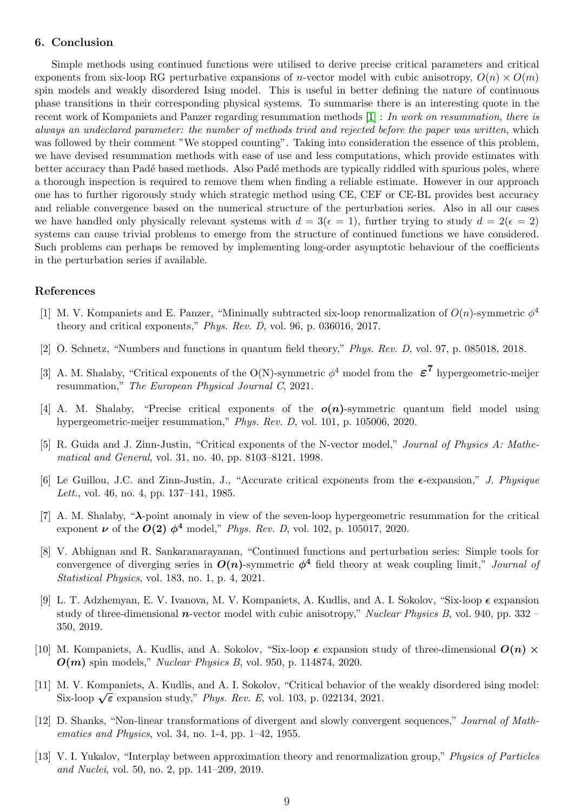## 6. Conclusion

Simple methods using continued functions were utilised to derive precise critical parameters and critical exponents from six-loop RG perturbative expansions of *n*-vector model with cubic anisotropy,  $O(n) \times O(m)$ spin models and weakly disordered Ising model. This is useful in better defining the nature of continuous phase transitions in their corresponding physical systems. To summarise there is an interesting quote in the recent work of Kompaniets and Panzer regarding resummation methods [\[1\]](#page-8-0) : In work on resummation, there is always an undeclared parameter: the number of methods tried and rejected before the paper was written, which was followed by their comment "We stopped counting". Taking into consideration the essence of this problem, we have devised resummation methods with ease of use and less computations, which provide estimates with better accuracy than Padé based methods. Also Padé methods are typically riddled with spurious poles, where a thorough inspection is required to remove them when finding a reliable estimate. However in our approach one has to further rigorously study which strategic method using CE, CEF or CE-BL provides best accuracy and reliable convergence based on the numerical structure of the perturbation series. Also in all our cases we have handled only physically relevant systems with  $d = 3(\epsilon = 1)$ , further trying to study  $d = 2(\epsilon = 2)$ systems can cause trivial problems to emerge from the structure of continued functions we have considered. Such problems can perhaps be removed by implementing long-order asymptotic behaviour of the coefficients in the perturbation series if available.

## References

- <span id="page-8-0"></span>[1] M. V. Kompaniets and E. Panzer, "Minimally subtracted six-loop renormalization of  $O(n)$ -symmetric  $\phi^4$ theory and critical exponents," Phys. Rev. D, vol. 96, p. 036016, 2017.
- <span id="page-8-1"></span>[2] O. Schnetz, "Numbers and functions in quantum field theory," Phys. Rev. D, vol. 97, p. 085018, 2018.
- <span id="page-8-2"></span>[3] A. M. Shalaby, "Critical exponents of the O(N)-symmetric  $\phi^4$  model from the  $\epsilon^7$  hypergeometric-meijer resummation," The European Physical Journal C, 2021.
- <span id="page-8-3"></span>[4] A. M. Shalaby, "Precise critical exponents of the  $o(n)$ -symmetric quantum field model using hypergeometric-meijer resummation," Phys. Rev. D, vol. 101, p. 105006, 2020.
- <span id="page-8-4"></span>[5] R. Guida and J. Zinn-Justin, "Critical exponents of the N-vector model," Journal of Physics A: Mathematical and General, vol. 31, no. 40, pp. 8103–8121, 1998.
- <span id="page-8-5"></span>[6] Le Guillou, J.C. and Zinn-Justin, J., "Accurate critical exponents from the  $\epsilon$ -expansion," *J. Physique* Lett., vol. 46, no. 4, pp. 137–141, 1985.
- <span id="page-8-6"></span>[7] A. M. Shalaby, "λ-point anomaly in view of the seven-loop hypergeometric resummation for the critical exponent  $\nu$  of the  $O(2)$   $\phi^4$  model," Phys. Rev. D, vol. 102, p. 105017, 2020.
- <span id="page-8-7"></span>[8] V. Abhignan and R. Sankaranarayanan, "Continued functions and perturbation series: Simple tools for convergence of diverging series in  $O(n)$ -symmetric  $\phi^4$  field theory at weak coupling limit," *Journal of* Statistical Physics, vol. 183, no. 1, p. 4, 2021.
- <span id="page-8-8"></span>[9] L. T. Adzhemyan, E. V. Ivanova, M. V. Kompaniets, A. Kudlis, and A. I. Sokolov, "Six-loop  $\epsilon$  expansion study of three-dimensional  $n$ -vector model with cubic anisotropy," Nuclear Physics B, vol. 940, pp. 332 – 350, 2019.
- <span id="page-8-9"></span>[10] M. Kompaniets, A. Kudlis, and A. Sokolov, "Six-loop  $\epsilon$  expansion study of three-dimensional  $O(n)$   $\times$  $O(m)$  spin models," Nuclear Physics B, vol. 950, p. 114874, 2020.
- <span id="page-8-10"></span>[11] M. V. Kompaniets, A. Kudlis, and A. I. Sokolov, "Critical behavior of the weakly disordered ising model: Six-loop  $\sqrt{\epsilon}$  expansion study," Phys. Rev. E, vol. 103, p. 022134, 2021.
- <span id="page-8-11"></span>[12] D. Shanks, "Non-linear transformations of divergent and slowly convergent sequences," Journal of Mathematics and Physics, vol. 34, no. 1-4, pp. 1–42, 1955.
- <span id="page-8-12"></span>[13] V. I. Yukalov, "Interplay between approximation theory and renormalization group," Physics of Particles and Nuclei, vol. 50, no. 2, pp. 141–209, 2019.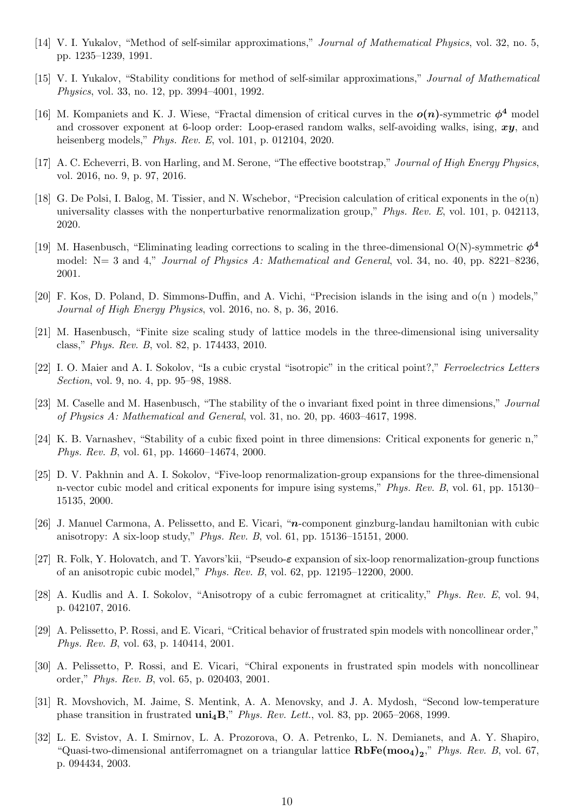- <span id="page-9-0"></span>[14] V. I. Yukalov, "Method of self-similar approximations," Journal of Mathematical Physics, vol. 32, no. 5, pp. 1235–1239, 1991.
- <span id="page-9-1"></span>[15] V. I. Yukalov, "Stability conditions for method of self-similar approximations," Journal of Mathematical Physics, vol. 33, no. 12, pp. 3994–4001, 1992.
- <span id="page-9-2"></span>[16] M. Kompaniets and K. J. Wiese, "Fractal dimension of critical curves in the  $o(n)$ -symmetric  $\phi^4$  model and crossover exponent at 6-loop order: Loop-erased random walks, self-avoiding walks, ising,  $xy$ , and heisenberg models," Phys. Rev. E, vol. 101, p. 012104, 2020.
- <span id="page-9-3"></span>[17] A. C. Echeverri, B. von Harling, and M. Serone, "The effective bootstrap," Journal of High Energy Physics, vol. 2016, no. 9, p. 97, 2016.
- <span id="page-9-4"></span>[18] G. De Polsi, I. Balog, M. Tissier, and N. Wschebor, "Precision calculation of critical exponents in the o(n) universality classes with the nonperturbative renormalization group," Phys. Rev. E, vol. 101, p. 042113, 2020.
- <span id="page-9-5"></span>[19] M. Hasenbusch, "Eliminating leading corrections to scaling in the three-dimensional O(N)-symmetric  $\phi^4$ model: N= 3 and 4," *Journal of Physics A: Mathematical and General*, vol. 34, no. 40, pp. 8221–8236, 2001.
- <span id="page-9-6"></span>[20] F. Kos, D. Poland, D. Simmons-Duffin, and A. Vichi, "Precision islands in the ising and o(n ) models," Journal of High Energy Physics, vol. 2016, no. 8, p. 36, 2016.
- <span id="page-9-7"></span>[21] M. Hasenbusch, "Finite size scaling study of lattice models in the three-dimensional ising universality class," Phys. Rev. B, vol. 82, p. 174433, 2010.
- <span id="page-9-8"></span>[22] I. O. Maier and A. I. Sokolov, "Is a cubic crystal "isotropic" in the critical point?," Ferroelectrics Letters Section, vol. 9, no. 4, pp. 95–98, 1988.
- <span id="page-9-9"></span>[23] M. Caselle and M. Hasenbusch, "The stability of the o invariant fixed point in three dimensions," Journal of Physics A: Mathematical and General, vol. 31, no. 20, pp. 4603–4617, 1998.
- <span id="page-9-10"></span>[24] K. B. Varnashev, "Stability of a cubic fixed point in three dimensions: Critical exponents for generic n," Phys. Rev. B, vol. 61, pp. 14660–14674, 2000.
- <span id="page-9-11"></span>[25] D. V. Pakhnin and A. I. Sokolov, "Five-loop renormalization-group expansions for the three-dimensional n-vector cubic model and critical exponents for impure ising systems," Phys. Rev. B, vol. 61, pp. 15130– 15135, 2000.
- <span id="page-9-12"></span>[26] J. Manuel Carmona, A. Pelissetto, and E. Vicari, "n-component ginzburg-landau hamiltonian with cubic anisotropy: A six-loop study," Phys. Rev. B, vol. 61, pp. 15136–15151, 2000.
- <span id="page-9-13"></span>[27] R. Folk, Y. Holovatch, and T. Yavors'kii, "Pseudo-ε expansion of six-loop renormalization-group functions of an anisotropic cubic model," Phys. Rev. B, vol. 62, pp. 12195–12200, 2000.
- <span id="page-9-14"></span>[28] A. Kudlis and A. I. Sokolov, "Anisotropy of a cubic ferromagnet at criticality," Phys. Rev. E, vol. 94, p. 042107, 2016.
- <span id="page-9-15"></span>[29] A. Pelissetto, P. Rossi, and E. Vicari, "Critical behavior of frustrated spin models with noncollinear order," Phys. Rev. B, vol. 63, p. 140414, 2001.
- <span id="page-9-16"></span>[30] A. Pelissetto, P. Rossi, and E. Vicari, "Chiral exponents in frustrated spin models with noncollinear order," Phys. Rev. B, vol. 65, p. 020403, 2001.
- <span id="page-9-17"></span>[31] R. Movshovich, M. Jaime, S. Mentink, A. A. Menovsky, and J. A. Mydosh, "Second low-temperature phase transition in frustrated  $\text{uni}_4\text{B}$ ," Phys. Rev. Lett., vol. 83, pp. 2065–2068, 1999.
- <span id="page-9-18"></span>[32] L. E. Svistov, A. I. Smirnov, L. A. Prozorova, O. A. Petrenko, L. N. Demianets, and A. Y. Shapiro, "Quasi-two-dimensional antiferromagnet on a triangular lattice  $\mathbf{RbFe(moo_4)}_2$ ," Phys. Rev. B, vol. 67, p. 094434, 2003.